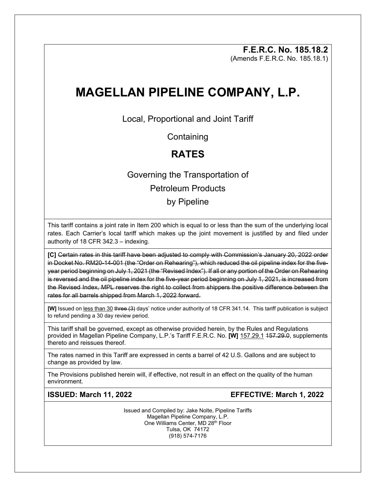**F.E.R.C. No. 185.18.2** (Amends F.E.R.C. No. 185.18.1)

# **MAGELLAN PIPELINE COMPANY, L.P.**

Local, Proportional and Joint Tariff

**Containing** 

## **RATES**

## Governing the Transportation of Petroleum Products by Pipeline

This tariff contains a joint rate in Item 200 which is equal to or less than the sum of the underlying local rates. Each Carrier's local tariff which makes up the joint movement is justified by and filed under authority of 18 CFR 342.3 – indexing.

**[C]** Certain rates in this tariff have been adjusted to comply with Commission's January 20, 2022 order in Docket No. RM20-14-001 (the "Order on Rehearing"), which reduced the oil pipeline index for the fiveyear period beginning on July 1, 2021 (the "Revised Index"). If all or any portion of the Order on Rehearing is reversed and the oil pipeline index for the five-year period beginning on July 1, 2021, is increased from the Revised Index, MPL reserves the right to collect from shippers the positive difference between the rates for all barrels shipped from March 1, 2022 forward.

**[W]** Issued on less than 30 three (3) days' notice under authority of 18 CFR 341.14. This tariff publication is subject to refund pending a 30 day review period.

This tariff shall be governed, except as otherwise provided herein, by the Rules and Regulations provided in Magellan Pipeline Company, L.P.'s Tariff F.E.R.C. No. **[W]** 157.29.1 157.29.0, supplements thereto and reissues thereof.

The rates named in this Tariff are expressed in cents a barrel of 42 U.S. Gallons and are subject to change as provided by law.

The Provisions published herein will, if effective, not result in an effect on the quality of the human environment.

**ISSUED: March 11, 2022 EFFECTIVE: March 1, 2022**

Issued and Compiled by: Jake Nolte, Pipeline Tariffs Magellan Pipeline Company, L.P. One Williams Center, MD 28<sup>th</sup> Floor Tulsa, OK 74172 (918) 574-7176